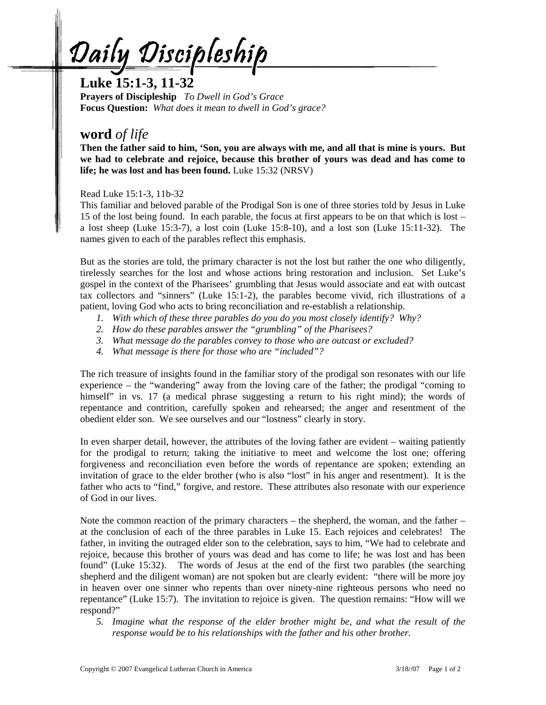Daily Discipleship

**Luke 15:1-3, 11-32** 

**Prayers of Discipleship** *To Dwell in God's Grace*  **Focus Question:** *What does it mean to dwell in God's grace?* 

## **word** *of life*

**Then the father said to him, 'Son, you are always with me, and all that is mine is yours. But we had to celebrate and rejoice, because this brother of yours was dead and has come to life; he was lost and has been found.** Luke 15:32 (NRSV)

Read Luke 15:1-3, 11b-32

This familiar and beloved parable of the Prodigal Son is one of three stories told by Jesus in Luke 15 of the lost being found. In each parable, the focus at first appears to be on that which is lost – a lost sheep (Luke 15:3-7), a lost coin (Luke 15:8-10), and a lost son (Luke 15:11-32). The names given to each of the parables reflect this emphasis.

But as the stories are told, the primary character is not the lost but rather the one who diligently, tirelessly searches for the lost and whose actions bring restoration and inclusion. Set Luke's gospel in the context of the Pharisees' grumbling that Jesus would associate and eat with outcast tax collectors and "sinners" (Luke 15:1-2), the parables become vivid, rich illustrations of a patient, loving God who acts to bring reconciliation and re-establish a relationship.

- *1. With which of these three parables do you do you most closely identify? Why?*
- *2. How do these parables answer the "grumbling" of the Pharisees?*
- *3. What message do the parables convey to those who are outcast or excluded?*
- *4. What message is there for those who are "included"?*

The rich treasure of insights found in the familiar story of the prodigal son resonates with our life experience – the "wandering" away from the loving care of the father; the prodigal "coming to himself" in vs. 17 (a medical phrase suggesting a return to his right mind); the words of repentance and contrition, carefully spoken and rehearsed; the anger and resentment of the obedient elder son. We see ourselves and our "lostness" clearly in story.

In even sharper detail, however, the attributes of the loving father are evident – waiting patiently for the prodigal to return; taking the initiative to meet and welcome the lost one; offering forgiveness and reconciliation even before the words of repentance are spoken; extending an invitation of grace to the elder brother (who is also "lost" in his anger and resentment). It is the father who acts to "find," forgive, and restore. These attributes also resonate with our experience of God in our lives.

Note the common reaction of the primary characters – the shepherd, the woman, and the father – at the conclusion of each of the three parables in Luke 15. Each rejoices and celebrates! The father, in inviting the outraged elder son to the celebration, says to him, "We had to celebrate and rejoice, because this brother of yours was dead and has come to life; he was lost and has been found" (Luke 15:32). The words of Jesus at the end of the first two parables (the searching shepherd and the diligent woman) are not spoken but are clearly evident: "there will be more joy in heaven over one sinner who repents than over ninety-nine righteous persons who need no repentance" (Luke 15:7). The invitation to rejoice is given. The question remains: "How will we respond?"

*5. Imagine what the response of the elder brother might be, and what the result of the response would be to his relationships with the father and his other brother.*